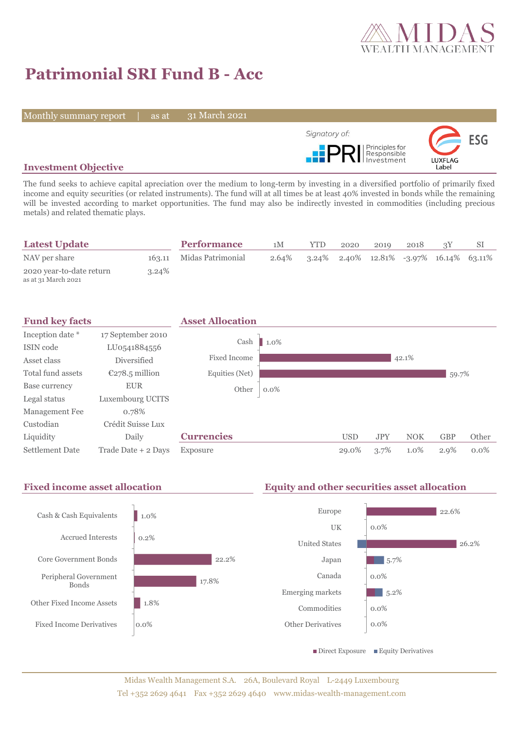

# **Patrimonial SRI Fund B - Acc**

Monthly summary report | as at

31 March 2021



## **Investment Objective**

The fund seeks to achieve capital apreciation over the medium to long-term by investing in a diversified portfolio of primarily fixed income and equity securities (or related instruments). The fund will at all times be at least 40% invested in bonds while the remaining will be invested according to market opportunities. The fund may also be indirectly invested in commodities (including precious metals) and related thematic plays.

| <b>Latest Update</b>                            |          | <b>Performance</b>       | 1M | <b>YTD</b>                                    | 2020 | 2019 | 2018 |  |
|-------------------------------------------------|----------|--------------------------|----|-----------------------------------------------|------|------|------|--|
| NAV per share                                   |          | 163.11 Midas Patrimonial |    | 2.64% 3.24% 2.40% 12.81% -3.97% 16.14% 63.11% |      |      |      |  |
| 2020 year-to-date return<br>as at 31 March 2021 | $3.24\%$ |                          |    |                                               |      |      |      |  |



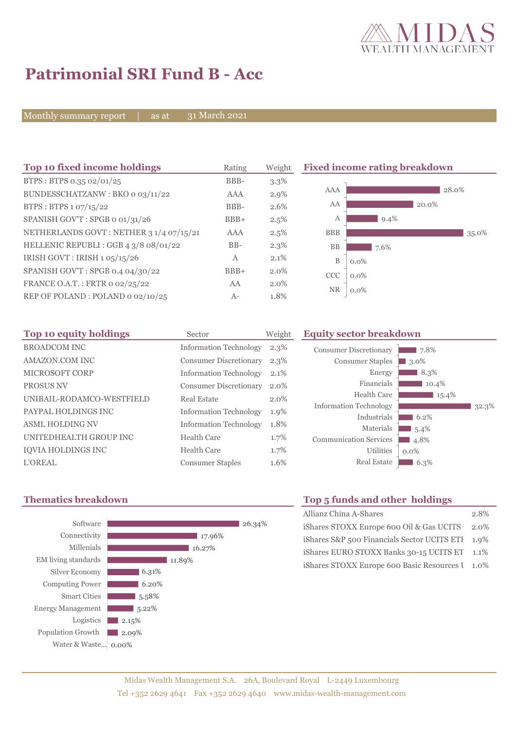

## **Patrimonial SRI Fund B - Acc**

Monthly summary report  $\overline{\phantom{a}}$  as at

31 March 2021

| Top 10 fixed income holdings            | Rating | Weight  | <b>Fixed income rating breakdown</b> |         |       |       |
|-----------------------------------------|--------|---------|--------------------------------------|---------|-------|-------|
| BTPS: BTPS 0.35 02/01/25                | BBB-   | $3.3\%$ |                                      |         |       |       |
| BUNDESSCHATZANW: BKO 0 03/11/22         | AAA    | $2.9\%$ | AAA                                  |         | 28.0% |       |
| BTPS: BTPS 1 07/15/22                   | BBB-   | 2.6%    | AA                                   |         | 20.0% |       |
| SPANISH GOV'T: SPGB o 01/31/26          | $BBB+$ | 2.5%    | А                                    | $9.4\%$ |       |       |
| NETHERLANDS GOVT: NETHER 3 1/4 07/15/21 | AAA    | 2.5%    | <b>BBB</b>                           |         |       | 35.0% |
| HELLENIC REPUBLI : GGB 4 3/8 08/01/22   | $BB-$  | $2.3\%$ | <b>BB</b>                            | 7.6%    |       |       |
| IRISH GOVT: IRISH 1 05/15/26            | A      | 2.1%    | $\mathbf B$                          | $0.0\%$ |       |       |
| SPANISH GOV'T: SPGB 0.4 04/30/22        | $BBB+$ | 2.0%    | <b>CCC</b>                           | $0.0\%$ |       |       |
| FRANCE O.A.T.: FRTR 0 02/25/22          | AA     | $2.0\%$ |                                      |         |       |       |
| REP OF POLAND: POLAND 0 02/10/25        | $A-$   | 1.8%    | <b>NR</b>                            | $0.0\%$ |       |       |

| Top 10 equity holdings    | Sector                        | Weight  | <b>Equity sector breakdown</b> |            |
|---------------------------|-------------------------------|---------|--------------------------------|------------|
| <b>BROADCOM INC</b>       | <b>Information Technology</b> | $2.3\%$ | <b>Consumer Discretionary</b>  |            |
| AMAZON.COM INC            | <b>Consumer Discretionary</b> | $2.3\%$ | <b>Consumer Staples</b>        | 3.0        |
| <b>MICROSOFT CORP</b>     | <b>Information Technology</b> | 2.1%    | Energy                         |            |
| <b>PROSUS NV</b>          | <b>Consumer Discretionary</b> | 2.0%    | Financials                     |            |
| UNIBAIL-RODAMCO-WESTFIELD | Real Estate                   | $2.0\%$ | Health Care                    |            |
| PAYPAL HOLDINGS INC       | <b>Information Technology</b> | 1.9%    | <b>Information Technology</b>  |            |
| <b>ASML HOLDING NV</b>    | <b>Information Technology</b> | 1.8%    | Industrials<br>Materials       | - 6        |
| UNITEDHEALTH GROUP INC    | Health Care                   | $1.7\%$ | <b>Communication Services</b>  | -5.<br>4.3 |
| <b>IQVIA HOLDINGS INC</b> | <b>Health Care</b>            | 1.7%    | Utilities                      | $0.0\%$    |
| <b>L'OREAL</b>            | <b>Consumer Staples</b>       | 1.6%    | <b>Real Estate</b>             | -6         |





 $\blacksquare$  7.8%

#### **Thematics breakdown Top 5 funds and other holdings**

| Allianz China A-Shares                           | 2.8% |
|--------------------------------------------------|------|
| iShares STOXX Europe 600 Oil & Gas UCITS 2.0%    |      |
| iShares S&P 500 Financials Sector UCITS ETI 1.9% |      |
| iShares EURO STOXX Banks 30-15 UCITS ET 1.1%     |      |
| iShares STOXX Europe 600 Basic Resources I 1.0%  |      |